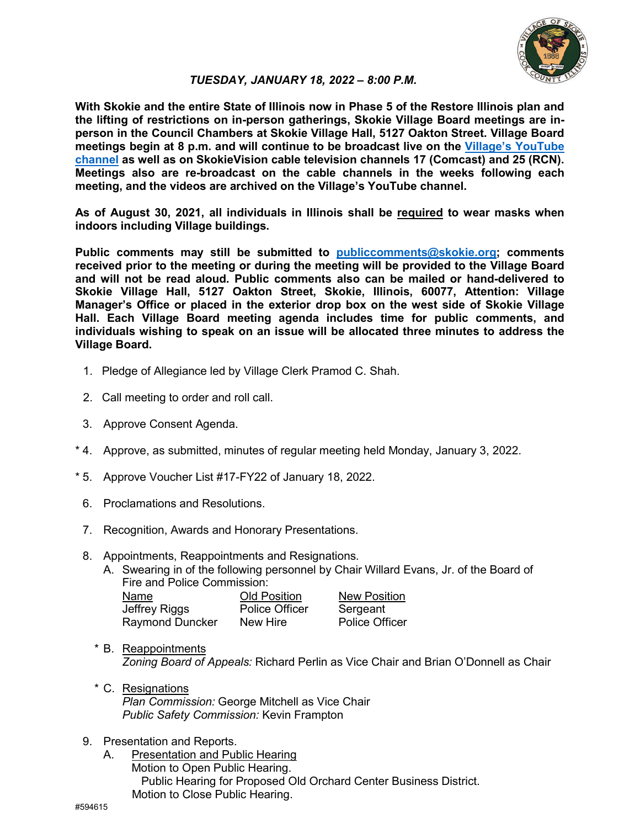

#### *TUESDAY, JANUARY 18, 2022 – 8:00 P.M.*

**With Skokie and the entire State of Illinois now in Phase 5 of the Restore Illinois plan and the lifting of restrictions on in-person gatherings, Skokie Village Board meetings are inperson in the Council Chambers at Skokie Village Hall, 5127 Oakton Street. Village Board meetings begin at 8 p.m. and will continue to be broadcast live on the Village's YouTube channel as well as on SkokieVision cable television channels 17 (Comcast) and 25 (RCN). Meetings also are re-broadcast on the cable channels in the weeks following each meeting, and the videos are archived on the Village's YouTube channel.**

**As of August 30, 2021, all individuals in Illinois shall be required to wear masks when indoors including Village buildings.** 

**Public comments may still be submitted to publiccomments@skokie.org; comments received prior to the meeting or during the meeting will be provided to the Village Board and will not be read aloud. Public comments also can be mailed or hand-delivered to Skokie Village Hall, 5127 Oakton Street, Skokie, Illinois, 60077, Attention: Village Manager's Office or placed in the exterior drop box on the west side of Skokie Village Hall. Each Village Board meeting agenda includes time for public comments, and individuals wishing to speak on an issue will be allocated three minutes to address the Village Board.**

- 1. Pledge of Allegiance led by Village Clerk Pramod C. Shah.
- 2. Call meeting to order and roll call.
- 3. Approve Consent Agenda.
- \* 4. Approve, as submitted, minutes of regular meeting held Monday, January 3, 2022.
- \* 5. Approve Voucher List #17-FY22 of January 18, 2022.
	- 6. Proclamations and Resolutions.
	- 7. Recognition, Awards and Honorary Presentations.
	- 8. Appointments, Reappointments and Resignations.
		- A. Swearing in of the following personnel by Chair Willard Evans, Jr. of the Board of Fire and Police Commission:

| Name            | <b>Old Position</b>   | <b>New Position</b>   |
|-----------------|-----------------------|-----------------------|
| Jeffrey Riggs   | <b>Police Officer</b> | Sergeant              |
| Raymond Duncker | New Hire              | <b>Police Officer</b> |

- \* B. Reappointments *Zoning Board of Appeals:* Richard Perlin as Vice Chair and Brian O'Donnell as Chair
- \* C. Resignations *Plan Commission:* George Mitchell as Vice Chair *Public Safety Commission:* Kevin Frampton
- 9. Presentation and Reports.
	- A. Presentation and Public Hearing Motion to Open Public Hearing. Public Hearing for Proposed Old Orchard Center Business District. Motion to Close Public Hearing.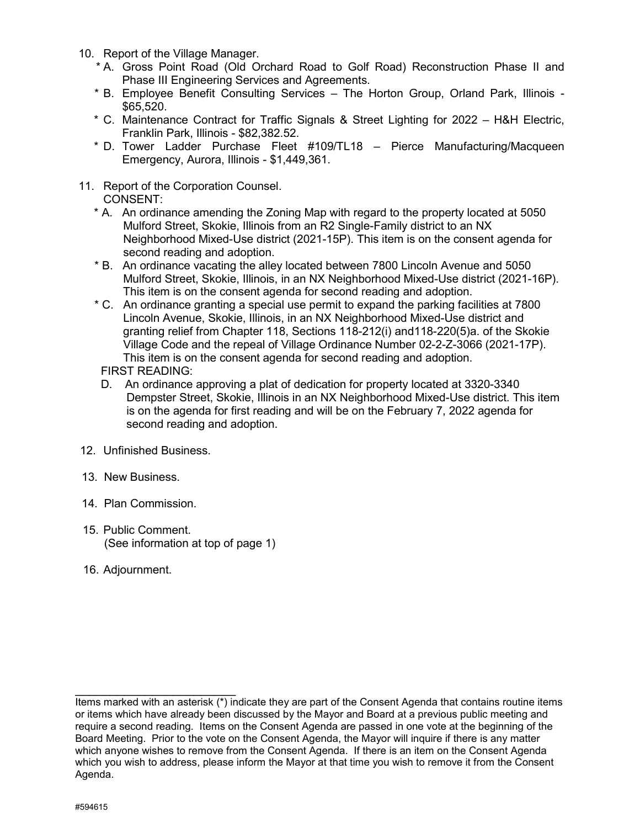- 10. Report of the Village Manager.
	- \* A. Gross Point Road (Old Orchard Road to Golf Road) Reconstruction Phase II and Phase III Engineering Services and Agreements.
	- \* B. Employee Benefit Consulting Services The Horton Group, Orland Park, Illinois \$65,520.
	- \* C. Maintenance Contract for Traffic Signals & Street Lighting for 2022 H&H Electric, Franklin Park, Illinois - \$82,382.52.
	- \* D. Tower Ladder Purchase Fleet #109/TL18 Pierce Manufacturing/Macqueen Emergency, Aurora, Illinois - \$1,449,361.
- 11. Report of the Corporation Counsel. CONSENT:
	- \* A. An ordinance amending the Zoning Map with regard to the property located at 5050 Mulford Street, Skokie, Illinois from an R2 Single-Family district to an NX Neighborhood Mixed-Use district (2021-15P). This item is on the consent agenda for second reading and adoption.
	- \* B. An ordinance vacating the alley located between 7800 Lincoln Avenue and 5050 Mulford Street, Skokie, Illinois, in an NX Neighborhood Mixed-Use district (2021-16P). This item is on the consent agenda for second reading and adoption.
	- \* C. An ordinance granting a special use permit to expand the parking facilities at 7800 Lincoln Avenue, Skokie, Illinois, in an NX Neighborhood Mixed-Use district and granting relief from Chapter 118, Sections 118-212(i) and118-220(5)a. of the Skokie Village Code and the repeal of Village Ordinance Number 02-2-Z-3066 (2021-17P). This item is on the consent agenda for second reading and adoption.

FIRST READING:

- D. An ordinance approving a plat of dedication for property located at 3320-3340 Dempster Street, Skokie, Illinois in an NX Neighborhood Mixed-Use district. This item is on the agenda for first reading and will be on the February 7, 2022 agenda for second reading and adoption.
- 12. Unfinished Business.
- 13. New Business.
- 14. Plan Commission.
- 15. Public Comment. (See information at top of page 1)
- 16. Adjournment.

\_\_\_\_\_\_\_\_\_\_\_\_\_\_\_\_\_\_\_\_\_\_\_ Items marked with an asterisk (\*) indicate they are part of the Consent Agenda that contains routine items or items which have already been discussed by the Mayor and Board at a previous public meeting and require a second reading. Items on the Consent Agenda are passed in one vote at the beginning of the Board Meeting. Prior to the vote on the Consent Agenda, the Mayor will inquire if there is any matter which anyone wishes to remove from the Consent Agenda. If there is an item on the Consent Agenda which you wish to address, please inform the Mayor at that time you wish to remove it from the Consent Agenda.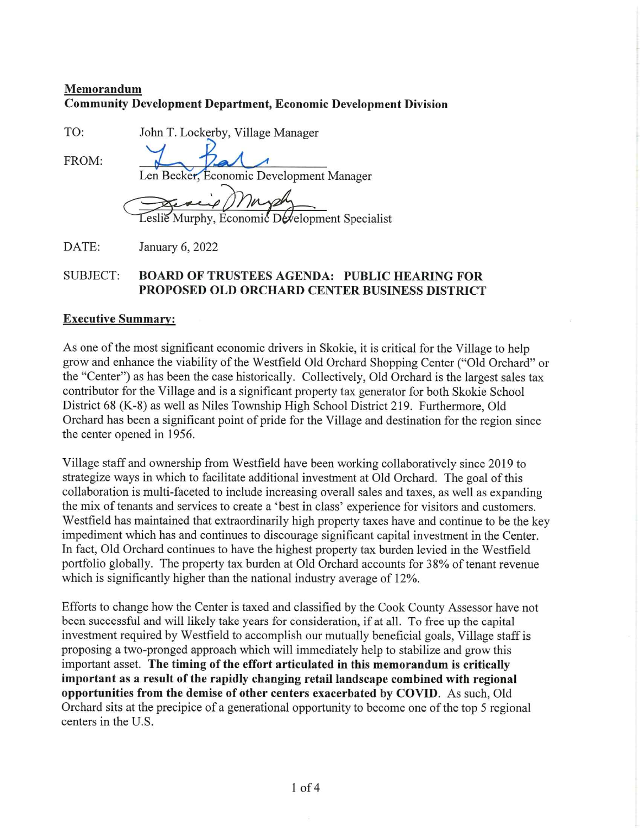# Memorandum Community Development Department, Economic Development Division

TO: John T. Lockerby, Village Manager

 $FROM:$   $I_{en}$   $Becker.$ Economic Development Manager

Leslie Murphy, Economic Development Specialist

DATE: January 6, 2022

# SUBJECT: BOARD OF TRUSTEES AGENDA: PUBLIC HEARING FOR PROPOSED OLD ORCHARD CENTER BUSINESS DISTRICT

## Executive Summary:

As one of the most significant economic drivers in Skokie, it is critical for the Village to help grow and enhance the viability of the Westfield Old Orchard Shopping Center ("Old Orchard" or the "Center" as has been the case historically. Collectively, Old Orchard is the largest sales tax contributor for the Village and is a significant property tax generator for both Skokie School District 68 (K-8) as well as Niles Township High School District 219. Furthermore, Old Orchard has been a significant point of pride for the Village and destination for the region since the center opened in 1956.

Village staff and ownership from Westfield have been working collaboratively since 2019 to strategize ways in which to facilitate additional investment at Old Orchard. The goal of this collaboration is multi-faceted to include increasing overall sales and taxes, as well as expanding the mix of tenants and services to create a 'best in class' experience for visitors and customers. Westfield has maintained that extraordinarily high property taxes have and continue to be the key impediment which has and continues to discourage significant capital investment in the Center. In fact. Old Orchard continues to have the highest property tax burden levied in the Westfield portfolio globally. The property tax burden at Old Orchard accounts for 38% of tenant revenue which is significantly higher than the national industry average of 12%.

Efforts to change how the Center is taxed and classified by the Cook County Assessor have not been successful and will likely take years for consideration, if at all. To free up the capital investment required by Westfield to accomplish our mutually beneficial goals, Village staff is proposing a two-pronged approach which will immediately help to stabilize and grow this important asset. The timing of the effort articulated in this memorandum is critically important as a result of the rapidly changing retail landscape combined with regional opportunities from the demise of other centers exacerbated by COVID. As such, Old Orchard sits at the precipice of a generational opportunity to become one of the top 5 regional centers in the U.S.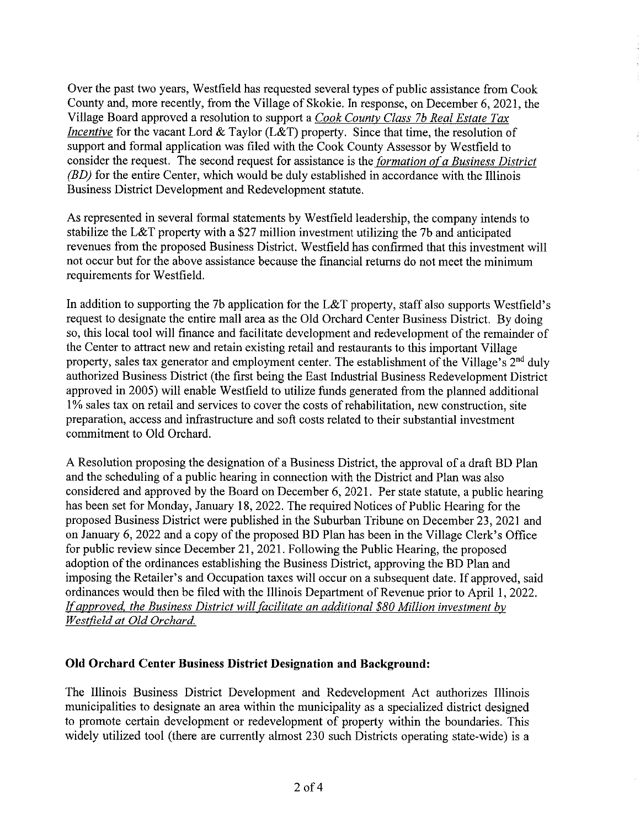Over the past two years, Westfield has requested several types of public assistance from Cook County and, more recently, from the Village of Skokie. In response, on December 6, 2021, the Village Board approved a resolution to support a *Cook County Class 7b Real Estate Tax Incentive* for the vacant Lord & Taylor (L&T) property. Since that time, the resolution of support and formal application was filed with the Cook County Assessor by Westfield to consider the request. The second request for assistance is the *formation of a Business District*  $(BD)$  for the entire Center, which would be duly established in accordance with the Illinois Business District Development and Redevelopment statute.

As represented in several formal statements by Westfield leadership, the company intends to stabilize the L&T property with a \$27 million investment utilizing the 7b and anticipated revenues from the proposed Business District. Westfield has confmned that this investment will not occur but for the above assistance because the financial returns do not meet the minimum requirements for Westfield.

In addition to supporting the 7b application for the L&T property, staff also supports Westfield's request to designate the entire mall area as the Old Orchard Center Business District. By doing so, this local tool will finance and facilitate development and redevelopment of the remainder of the Center to attract new and retain existing retail and restaurants to this important Village property, sales tax generator and employment center. The establishment of the Village's  $2<sup>nd</sup>$  duly authorized Business District (the first being the East Industrial Business Redevelopment District approved in 2005) will enable Westfield to utilize funds generated from the planned additional 1% sales tax on retail and services to cover the costs of rehabilitation, new construction, site preparation, access and infrastructure and soft costs related to their substantial investment commitment to Old Orchard.

A Resolution proposing the designation of a Business District, the approval of a draft BD Plan and the scheduling of a public hearing in connection with the District and Plan was also considered and approved by the Board on December 6, 202 1. Per state statute, a public hearing has been set for Monday, January 18, 2022. The required Notices of Public Hearing for the proposed Business District were published in the Suburban Tribune on December 23, 2021 and on January 6, 2022 and a copy of the proposed BD Plan has been in the Village Clerk's Office for public review since December 21, 2021. Following the Public Hearing, the proposed adoption of the ordinances establishing the Business District, approving the BD Plan and imposing the Retailer's and Occupation taxes will occur on a subsequent date. If approved, said ordinances would then be filed with the Illinois Department of Revenue prior to April 1, 2022. If approved, the Business District will facilitate an additional \$80 Million investment by Westfield at Old Orchard.

## Old Orchard Center Business District Designation and Background:

The Illinois Business District Development and Redevelopment Act authorizes Illinois municipalities to designate an area within the municipality as a specialized district designed to promote certain development or redevelopment of property within the boundaries. This widely utilized tool (there are currently almost 230 such Districts operating state-wide) is a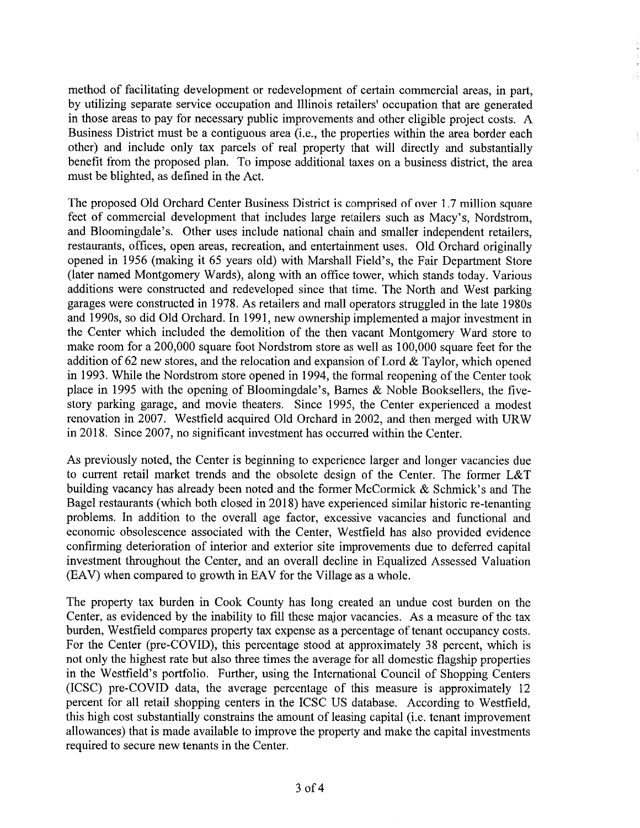method of facilitating development or redevelopment of certain commercial areas, in part, by utilizing separate service occupation and Illinois retailers' occupation that are generated in those areas to pay for necessary public improvements and other eligible project costs. A Business District must be a contiguous area (i.e., the properties within the area border each other) and include only tax parcels of real property that will directly and substantially benefit from the proposed plan. To impose additional taxes on a business district, the area must be blighted, as defined in the Act.

The proposed Old Orchard Center Business District is comprised of over 1.7 million square feet of commercial development that includes large retailers such as Macy's, Nordstrom, and Bloomingdale's. Other uses include national chain and smaller independent retailers, restaurants, offices, open areas, recreation, and entertainment uses. Old Orchard originally opened in 1956 (making it 65 years old) with Marshall Field's, the Fair Department Store (later named Montgomery Wards), along with an office tower, which stands today. Various additions were constructed and redeveloped since that time. The North and West parking garages were constructed in 1978. As retailers and mall operators struggled in the late 1980s and 1990s, so did Old Orchard. In 1991, new ownership implemented a major investment in the Center which included the demolition of the then vacant Montgomery Ward store to make room for a 200,000 square foot Nordstrom store as well as 100,000 square feet for the addition of 62 new stores, and the relocation and expansion of Lord & Taylor, which opened in 1993. While the Nordstrom store opened in 1994, the formal reopening of the Center took place in 1995 with the opening of Bloomingdale's, Barnes  $\&$  Noble Booksellers, the fivestory parking garage, and movie theaters. Since 1995, the Center experienced a modest renovation in 2007. Westfield acquired Old Orchard in 2002, and then merged with URW in 2018. Since 2007, no significant investment has occurred within the Center.

As previously noted, the Center is beginning to experience larger and longer vacancies due to current retail market trends and the obsolete design of the Center. The former L&T building vacancy has already been noted and the former McCormick & Schmick's and The Bagel restaurants (which both closed in 2018) have experienced similar historic re-tenanting problems. In addition to the overall age factor, excessive vacancies and functional and economic obsolescence associated with the Center, Westfield has also provided evidence confirming deterioration of interior and exterior site improvements due to deferred capital investment throughout the Center, and an overall decline in Equalized Assessed Valuation (EAV) when compared to growth in EAV for the Village as a whole.

The property tax burden in Cook County has long created an undue cost burden on the Center, as evidenced by the inability to fill these major vacancies. As a measure of the tax burden, Westfield compares property tax expense as a percentage of tenant occupancy costs. For the Center (pre-COVID), this percentage stood at approximately 38 percent, which is not only the highest rate but also three times the average for all domestic flagship properties in the Westfield's portfolio. Further, using the International Council of Shopping Centers (ICSC) pre-COVID data, the average percentage of this measure is approximately 12 percent for all retail shopping centers in the ICSC US database. According to Westfield, this high cost substantially constrains the amount of leasing capital (i.e. tenant improvement allowances) that is made available to improve the property and make the capital investments required to secure new tenants in the Center.